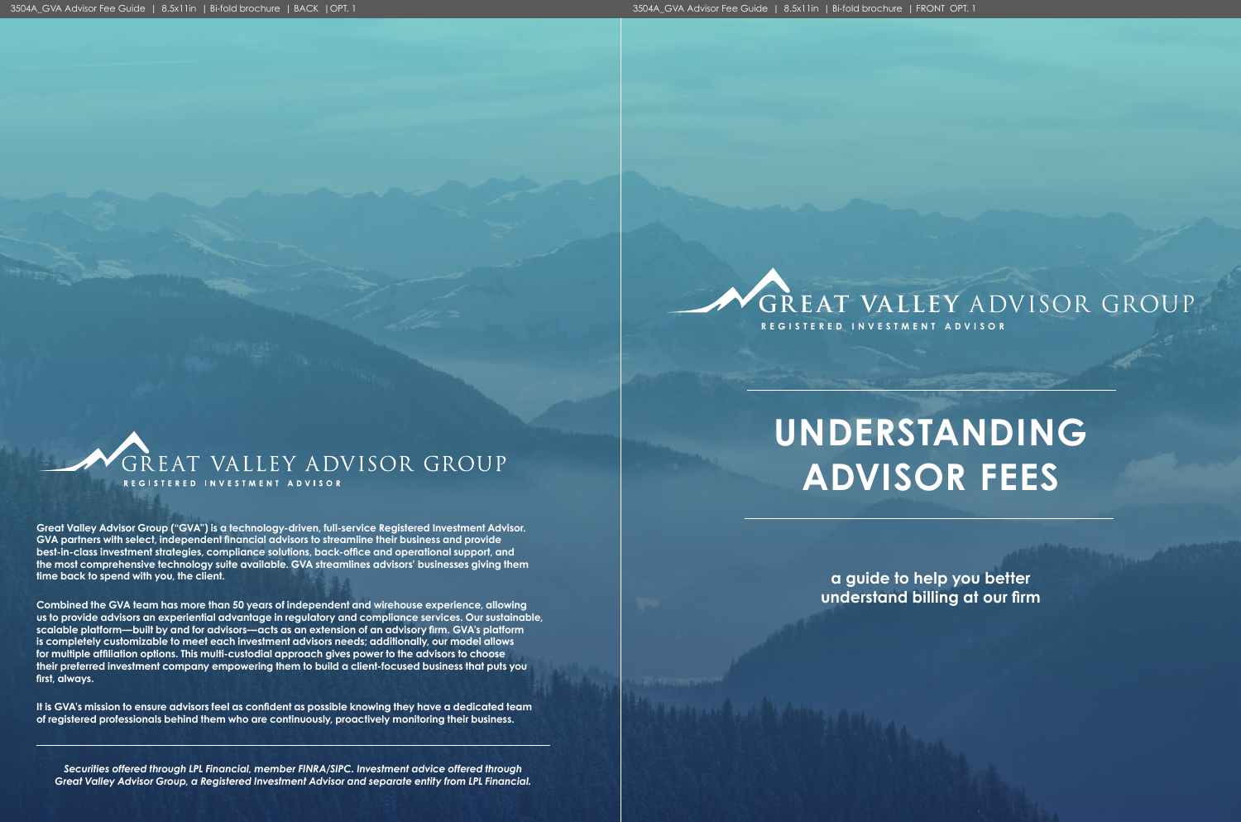

# **GR EAT VALLEY** ADVISOR GROUP

**a guide to help you better understand billing at our firm** 



# **UNDERSTANDING ADVISOR FEES**

**Great Valley Advisor Group ("GVA") is a technology-driven, full-service Registered Investment Advisor. GVA partners with select, independent financial advisors to streamline their business and provide best-in-class investment strategies, compliance solutions, back-office and operational support, and the most comprehensive technology suite available. GVA streamlines advisors' businesses giving them time back to spend with you, the client.**

**Combined the GVA team has more than 50 years of independent and wirehouse experience, allowing us to provide advisors an experiential advantage in regulatory and compliance services. Our sustainable, scalable platform—built by and for advisors—acts as an extension of an advisory firm. GVA's platform is completely customizable to meet each investment advisors needs; additionally, our model allows for multiple affiliation options. This multi-custodial approach gives power to the advisors to choose their preferred investment company empowering them to build a client-focused business that puts you first, always.** 

**It is GVA's mission to ensure advisors feel as confident as possible knowing they have a dedicated team of registered professionals behind them who are continuously, proactively monitoring their business.** 

*Securities offered through LPL Financial, member FINRA/SIPC. Investment advice offered through Great Valley Advisor Group, a Registered Investment Advisor and separate entity from LPL Financial.*